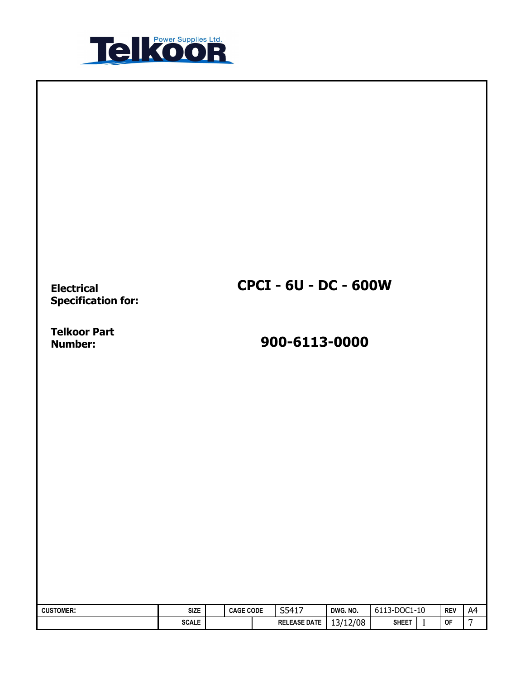

Electrical Specification for:

Telkoor Part<br>Number:

# Number: 900-6113-0000

CPCI - 6U - DC - 600W

| <b>CUSTOMER:</b> | <b>SIZE</b>  | <b>CAGE CODE</b> | S5417               | DWG. NO. | 6113-DOC1-10 | <b>REV</b> | A4              |
|------------------|--------------|------------------|---------------------|----------|--------------|------------|-----------------|
|                  | <b>SCALE</b> |                  | <b>RELEASE DATE</b> | 13/12/08 | <b>SHEET</b> | <b>OF</b>  | $\mathbf{\tau}$ |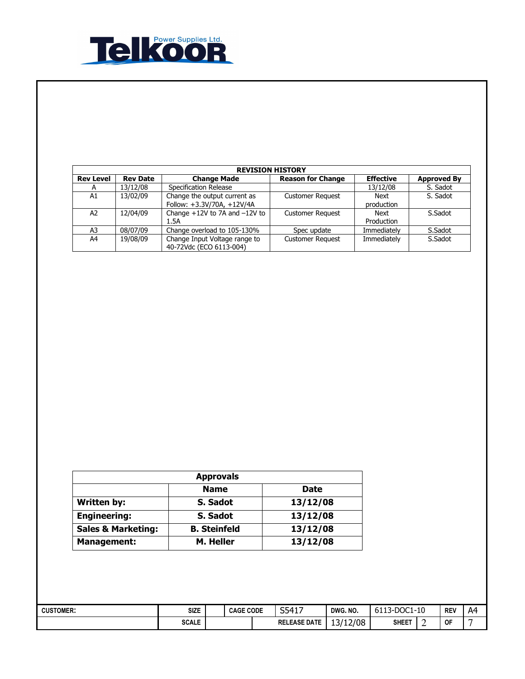

| <b>REVISION HISTORY</b> |                 |                                                            |                          |                           |                    |  |  |  |
|-------------------------|-----------------|------------------------------------------------------------|--------------------------|---------------------------|--------------------|--|--|--|
| <b>Rev Level</b>        | <b>Rev Date</b> | <b>Change Made</b>                                         | <b>Reason for Change</b> | <b>Effective</b>          | <b>Approved By</b> |  |  |  |
| A                       | 13/12/08        | Specification Release                                      |                          | 13/12/08                  | S. Sadot           |  |  |  |
| A1                      | 13/02/09        | Change the output current as<br>Follow: +3.3V/70A, +12V/4A | <b>Customer Request</b>  | <b>Next</b><br>production | S. Sadot           |  |  |  |
| A <sub>2</sub>          | 12/04/09        | Change $+12V$ to 7A and $-12V$ to<br>1.5A                  | <b>Customer Request</b>  | Next<br>Production        | S.Sadot            |  |  |  |
| A3                      | 08/07/09        | Change overload to 105-130%                                | Spec update              | Immediately               | S.Sadot            |  |  |  |
| A4                      | 19/08/09        | Change Input Voltage range to<br>40-72Vdc (ECO 6113-004)   | <b>Customer Request</b>  | Immediately               | S.Sadot            |  |  |  |

| <b>Approvals</b>              |                     |             |  |  |  |  |  |
|-------------------------------|---------------------|-------------|--|--|--|--|--|
|                               | <b>Name</b>         | <b>Date</b> |  |  |  |  |  |
| <b>Written by:</b>            | S. Sadot            | 13/12/08    |  |  |  |  |  |
| <b>Engineering:</b>           | S. Sadot            | 13/12/08    |  |  |  |  |  |
| <b>Sales &amp; Marketing:</b> | <b>B.</b> Steinfeld | 13/12/08    |  |  |  |  |  |
| <b>Management:</b>            | M. Heller           | 13/12/08    |  |  |  |  |  |

| <b>CUSTOMER:</b> | <b>SIZE</b><br>the contract of the contract of | <b>CODE</b><br><b>CAGE</b> |  | $541$ <sup>-</sup><br>т ⊥ /<br>ັບ | DWG. NO.       | DOC1<br>-10<br>-<br>n i<br>◡∸∸◡ |   | <b>REV</b> | A4 |
|------------------|------------------------------------------------|----------------------------|--|-----------------------------------|----------------|---------------------------------|---|------------|----|
|                  | <b>COMP</b><br><b>SCALE</b>                    |                            |  | <b>RELEASE DATE</b>               | 13/12/08<br>-- | <b>SHEET</b>                    | - | OF         |    |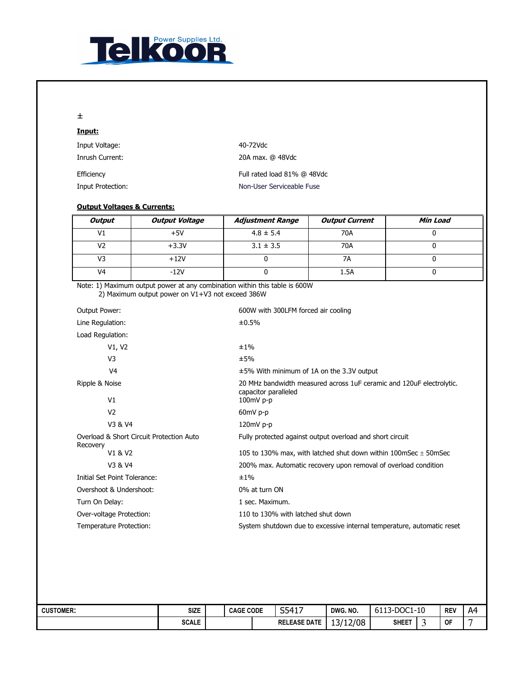

#### ±

| Input:            |                             |
|-------------------|-----------------------------|
| Input Voltage:    | 40-72Vdc                    |
| Inrush Current:   | 20A max. @ 48Vdc            |
| Efficiency        | Full rated load 81% @ 48Vdc |
| Input Protection: | Non-User Serviceable Fuse   |
|                   |                             |

#### Output Voltages & Currents:

| Output         | <b>Output Voltage</b> | <b>Adjustment Range</b> | <b>Output Current</b> | Min Load |
|----------------|-----------------------|-------------------------|-----------------------|----------|
| V1             | $+5V$                 | $4.8 \pm 5.4$           | 70A                   |          |
| V2             | $+3.3V$               | $3.1 \pm 3.5$           | 70A                   |          |
| V3             | $+12V$                |                         | 7Α                    |          |
| V <sub>4</sub> | $-12V$                |                         | 1.5A                  |          |

Note: 1) Maximum output power at any combination within this table is 600W 2) Maximum output power on V1+V3 not exceed 386W

| Output Power:                                        | 600W with 300LFM forced air cooling                                                          |
|------------------------------------------------------|----------------------------------------------------------------------------------------------|
| Line Regulation:                                     | ±0.5%                                                                                        |
| Load Regulation:                                     |                                                                                              |
| V1, V2                                               | ±1%                                                                                          |
| V <sub>3</sub>                                       | ±5%                                                                                          |
| V <sub>4</sub>                                       | $\pm$ 5% With minimum of 1A on the 3.3V output                                               |
| Ripple & Noise                                       | 20 MHz bandwidth measured across 1uF ceramic and 120uF electrolytic.<br>capacitor paralleled |
| V <sub>1</sub>                                       | $100mV$ p-p                                                                                  |
| V <sub>2</sub>                                       | $60mV$ p-p                                                                                   |
| V3 & V4                                              | $120mV$ p-p                                                                                  |
| Overload & Short Circuit Protection Auto<br>Recovery | Fully protected against output overload and short circuit                                    |
| V1 & V2                                              | 105 to 130% max, with latched shut down within 100mSec $\pm$ 50mSec                          |
| V3 & V4                                              | 200% max. Automatic recovery upon removal of overload condition                              |
| Initial Set Point Tolerance:                         | ±1%                                                                                          |
| Overshoot & Undershoot:                              | 0% at turn ON                                                                                |
| Turn On Delay:                                       | 1 sec. Maximum.                                                                              |
| Over-voltage Protection:                             | 110 to 130% with latched shut down                                                           |
| Temperature Protection:                              | System shutdown due to excessive internal temperature, automatic reset                       |

| <b>CUSTOMER:</b> | SIZE         | <b>CAGE CODE</b> | S5417<br><u>JJTI/</u> | DWG. NO. | DOC1<br>.-10<br>-<br>0113<br>$-1$ |  | <b>REV</b> | A4 |
|------------------|--------------|------------------|-----------------------|----------|-----------------------------------|--|------------|----|
|                  | <b>SCALE</b> |                  | <b>RELEASE DATE</b>   | 13/12/08 | <b>SHEET</b>                      |  | <b>OF</b>  |    |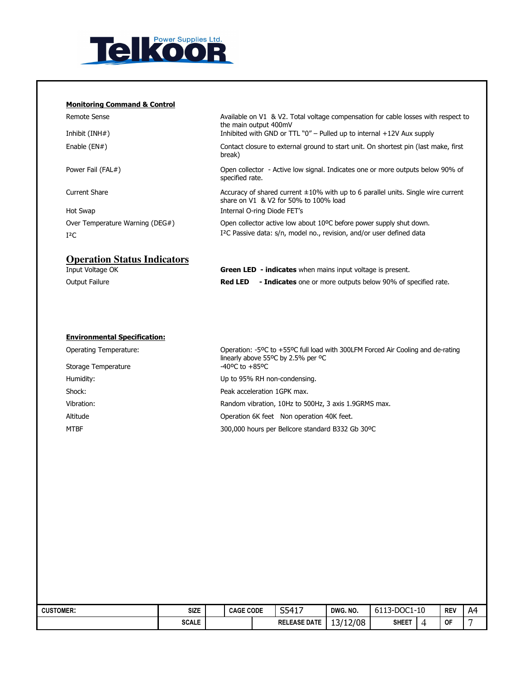

#### Monitoring Command & Control

| Remote Sense<br>Inhibit $(INH#)$   | Available on V1 & V2. Total voltage compensation for cable losses with respect to<br>the main output 400mV<br>Inhibited with GND or TTL $"0"$ – Pulled up to internal $+12V$ Aux supply |
|------------------------------------|-----------------------------------------------------------------------------------------------------------------------------------------------------------------------------------------|
|                                    |                                                                                                                                                                                         |
| Enable $(EN#)$                     | Contact closure to external ground to start unit. On shortest pin (last make, first<br>break)                                                                                           |
| Power Fail (FAL#)                  | Open collector - Active low signal. Indicates one or more outputs below 90% of<br>specified rate.                                                                                       |
| Current Share                      | Accuracy of shared current $\pm 10\%$ with up to 6 parallel units. Single wire current<br>share on V1 & V2 for 50% to 100% load                                                         |
| Hot Swap                           | Internal O-ring Diode FET's                                                                                                                                                             |
| Over Temperature Warning (DEG#)    | Open collector active low about 10°C before power supply shut down.                                                                                                                     |
| $I^2C$                             | I <sup>2</sup> C Passive data: s/n, model no., revision, and/or user defined data                                                                                                       |
| <b>Operation Status Indicators</b> |                                                                                                                                                                                         |

| Input Voltage OK |                | <b>Green LED - indicates</b> when mains input voltage is present.   |
|------------------|----------------|---------------------------------------------------------------------|
| Output Failure   | <b>Red LED</b> | <b>- Indicates</b> one or more outputs below 90% of specified rate. |

#### Environmental Specification:

| Operating Temperature: | Operation: -5°C to +55°C full load with 300LFM Forced Air Cooling and de-rating<br>linearly above 55 $\degree$ C by 2.5% per $\degree$ C |
|------------------------|------------------------------------------------------------------------------------------------------------------------------------------|
| Storage Temperature    | $-40^{\circ}$ C to $+85^{\circ}$ C                                                                                                       |
| Humidity:              | Up to 95% RH non-condensing.                                                                                                             |
| Shock:                 | Peak acceleration 1GPK max.                                                                                                              |
| Vibration:             | Random vibration, 10Hz to 500Hz, 3 axis 1.9GRMS max.                                                                                     |
| Altitude               | Operation 6K feet Non operation 40K feet.                                                                                                |
| MTBF                   | 300,000 hours per Bellcore standard B332 Gb 30°C                                                                                         |

| <b>CUSTOMER:</b> | <b>SIZE</b>  | <b>CAGE CODE</b> | S5417               | DWG. NO. | 6113-DOC1-10 |   | <b>REV</b> | A4 |
|------------------|--------------|------------------|---------------------|----------|--------------|---|------------|----|
|                  | <b>SCALE</b> |                  | <b>RELEASE DATE</b> | 13/12/08 | <b>SHEET</b> | 4 | <b>OF</b>  |    |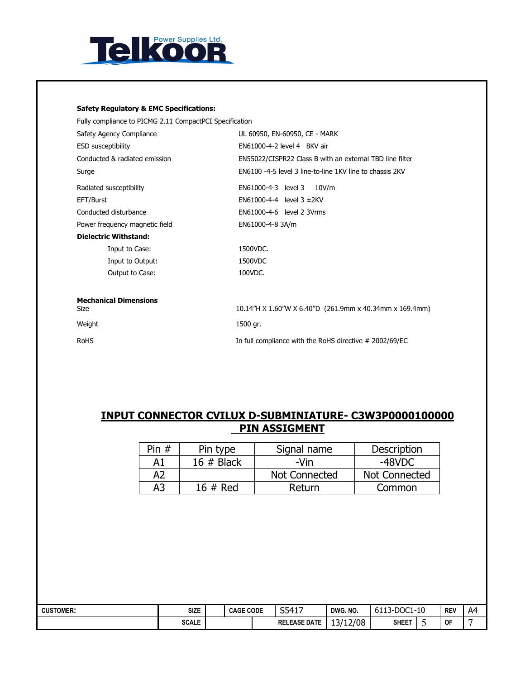

#### Safety Regulatory & EMC Specifications:

Fully compliance to PICMG 2.11 CompactPCI Specification

| Safety Agency Compliance             | UL 60950, EN-60950, CE - MARK                            |  |  |  |  |  |  |
|--------------------------------------|----------------------------------------------------------|--|--|--|--|--|--|
| <b>ESD susceptibility</b>            | EN61000-4-2 level 4 8KV air                              |  |  |  |  |  |  |
| Conducted & radiated emission        | EN55022/CISPR22 Class B with an external TBD line filter |  |  |  |  |  |  |
| Surge                                | EN6100 -4-5 level 3 line-to-line 1KV line to chassis 2KV |  |  |  |  |  |  |
| Radiated susceptibility              | EN61000-4-3 level 3<br>10V/m                             |  |  |  |  |  |  |
| EFT/Burst                            | EN61000-4-4 level $3 \pm 2$ KV                           |  |  |  |  |  |  |
| Conducted disturbance                | EN61000-4-6 level 2 3Vrms                                |  |  |  |  |  |  |
| Power frequency magnetic field       | EN61000-4-8 3A/m                                         |  |  |  |  |  |  |
| <b>Dielectric Withstand:</b>         |                                                          |  |  |  |  |  |  |
| Input to Case:                       | 1500VDC.                                                 |  |  |  |  |  |  |
| Input to Output:                     | 1500VDC                                                  |  |  |  |  |  |  |
| Output to Case:                      | 100VDC.                                                  |  |  |  |  |  |  |
| <b>Mechanical Dimensions</b><br>Size |                                                          |  |  |  |  |  |  |
|                                      | 10.14"H X 1.60"W X 6.40"D (261.9mm x 40.34mm x 169.4mm)  |  |  |  |  |  |  |

Weight 1500 gr. RoHS **In full compliance with the RoHS directive # 2002/69/EC** 

### INPUT CONNECTOR CVILUX D-SUBMINIATURE- C3W3P0000100000 PIN ASSIGMENT

| Pin $#$        | Pin type     | Signal name   | <b>Description</b> |  |  |
|----------------|--------------|---------------|--------------------|--|--|
| A1             | 16 $#$ Black | -Vin          | -48VDC             |  |  |
| A <sub>2</sub> |              | Not Connected | Not Connected      |  |  |
| A3             | $16 \#$ Red  | Return        | Common             |  |  |

| <b>CUSTOMER:</b> | <b>SIZE</b>  | <b>CAGE CODE</b> | S5417               | DWG. NO. | 6113-DOC1-10 |   | <b>REV</b> | A4 |
|------------------|--------------|------------------|---------------------|----------|--------------|---|------------|----|
|                  | <b>SCALE</b> |                  | <b>RELEASE DATE</b> | 13/12/08 | <b>SHEET</b> | - | <b>OF</b>  |    |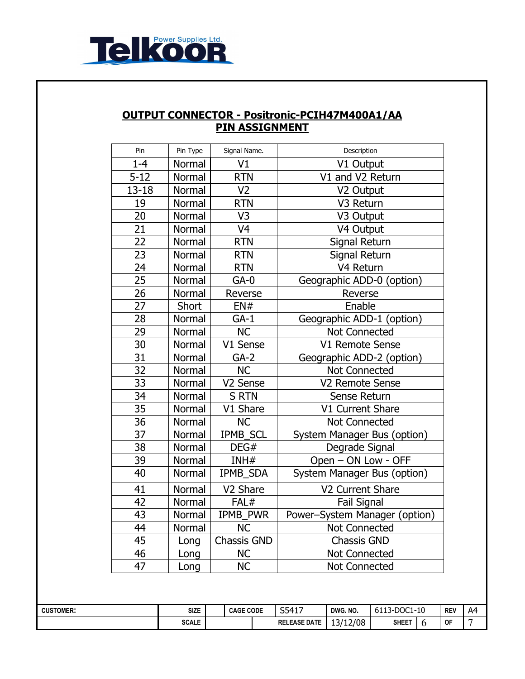

## OUTPUT CONNECTOR - Positronic-PCIH47M400A1/AA PIN ASSIGNMENT

| Pin       | Pin Type                               | Signal Name.         | Description                   |
|-----------|----------------------------------------|----------------------|-------------------------------|
| $1 - 4$   | Normal                                 | V1                   | V1 Output                     |
| $5 - 12$  | Normal                                 | <b>RTN</b>           | V1 and V2 Return              |
| $13 - 18$ | Normal                                 | V <sub>2</sub>       | V2 Output                     |
| 19        | Normal                                 | <b>RTN</b>           | V3 Return                     |
| 20        | Normal                                 | V <sub>3</sub>       | V3 Output                     |
| 21        | Normal                                 | V <sub>4</sub>       | V4 Output                     |
| 22        | Normal                                 | <b>RTN</b>           | Signal Return                 |
| 23        | Normal                                 | <b>RTN</b>           | Signal Return                 |
| 24        | Normal                                 | <b>RTN</b>           | V <sub>4</sub> Return         |
| 25        | Normal                                 | $GA-0$               | Geographic ADD-0 (option)     |
| 26        | Normal                                 | Reverse              | Reverse                       |
| 27        | Short                                  | EN#                  | Enable                        |
| 28        | Normal                                 | $GA-1$               | Geographic ADD-1 (option)     |
| 29        | Normal                                 | <b>NC</b>            | Not Connected                 |
| 30        | Normal                                 | V1 Sense             | V1 Remote Sense               |
| 31        | Normal                                 | $GA-2$               | Geographic ADD-2 (option)     |
| 32        | Normal                                 | <b>NC</b>            | Not Connected                 |
| 33        | Normal                                 | V <sub>2</sub> Sense | V2 Remote Sense               |
| 34        | Normal                                 | <b>S RTN</b>         | Sense Return                  |
| 35        | Normal                                 | V1 Share             | V1 Current Share              |
| 36        | Normal                                 | <b>NC</b>            | Not Connected                 |
| 37        | Normal                                 | IPMB_SCL             | System Manager Bus (option)   |
| 38        | DEG#<br>Normal<br>39<br>INH#<br>Normal |                      | Degrade Signal                |
|           |                                        |                      | Open - ON Low - OFF           |
| 40        | Normal                                 | IPMB_SDA             | System Manager Bus (option)   |
| 41        | Normal                                 | V <sub>2</sub> Share | V2 Current Share              |
| 42        | Normal                                 | FAL#                 | <b>Fail Signal</b>            |
| 43        | Normal                                 | IPMB PWR             | Power-System Manager (option) |
| 44        | Normal                                 | NC                   | Not Connected                 |
| 45        | Long                                   | Chassis GND          | <b>Chassis GND</b>            |
| 46        | Long                                   | <b>NC</b>            | Not Connected                 |
| 47        | Long                                   | <b>NC</b>            | Not Connected                 |

| <b>CUSTOMER:</b> | <b>SIZE</b>  | <b>CODE</b><br><b>CAGE</b> |  | S5417<br>т ⊥ и<br>ັບ | DWG. NO. | DOC1-<br>-10<br>∽<br>--<br>0113 |  | <b>REV</b> | Δ4<br>n, |
|------------------|--------------|----------------------------|--|----------------------|----------|---------------------------------|--|------------|----------|
|                  | <b>SCALE</b> |                            |  | <b>RELEASE DATE</b>  | 13/12/08 | <b>SHEET</b>                    |  | OF         |          |